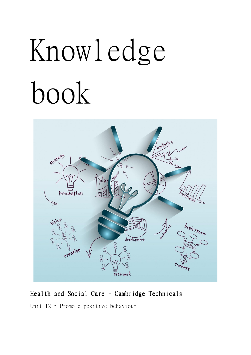## Knowledge book



## Health and Social Care – Cambridge Technicals

Unit 12 – Promote positive behaviour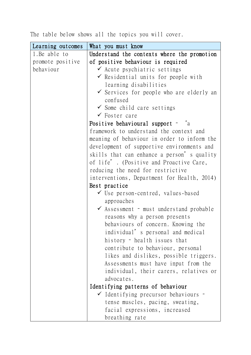|  |  |  |  |  |  | The table below shows all the topics you will cover. |  |  |  |
|--|--|--|--|--|--|------------------------------------------------------|--|--|--|
|--|--|--|--|--|--|------------------------------------------------------|--|--|--|

| Learning outcomes | What you must know                                  |
|-------------------|-----------------------------------------------------|
| 1. Be able to     | Understand the contexts where the promotion         |
| promote positive  | of positive behaviour is required                   |
| behaviour         | $\checkmark$ Acute psychiatric settings             |
|                   | $\checkmark$ Residential units for people with      |
|                   | learning disabilities                               |
|                   | $\checkmark$ Services for people who are elderly an |
|                   | confused                                            |
|                   | $\checkmark$ Some child care settings               |
|                   | $\checkmark$ Foster care                            |
|                   | Positive behavioural support - 'a                   |
|                   | framework to understand the context and             |
|                   | meaning of behaviour in order to inform the         |
|                   | development of supportive environments and          |
|                   | skills that can enhance a person's quality          |
|                   | of life'. (Positive and Proactive Care,             |
|                   | reducing the need for restrictive                   |
|                   | interventions, Department for Health, 2014)         |
|                   | Best practice                                       |
|                   | $\checkmark$ Use person-centred, values-based       |
|                   | approaches                                          |
|                   | $\checkmark$ Assessment - must understand probable  |
|                   | reasons why a person presents                       |
|                   | behaviours of concern. Knowing the                  |
|                   | individual' s personal and medical                  |
|                   | history - health issues that                        |
|                   | contribute to behaviour, personal                   |
|                   | likes and dislikes, possible triggers.              |
|                   | Assessments must have input from the                |
|                   | individual, their carers, relatives or              |
|                   | advocates.                                          |
|                   | Identifying patterns of behaviour                   |
|                   | $\checkmark$ Identifying precursor behaviours -     |
|                   | tense muscles, pacing, sweating,                    |
|                   | facial expressions, increased                       |
|                   | breathing rate                                      |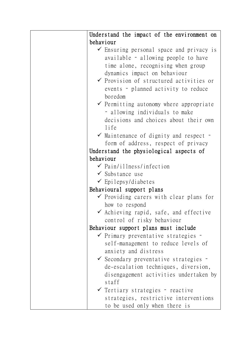| Understand the impact of the environment on        |
|----------------------------------------------------|
| behaviour                                          |
| Ensuring personal space and privacy is             |
| available - allowing people to have                |
| time alone, recognising when group                 |
| dynamics impact on behaviour                       |
| $\checkmark$ Provision of structured activities or |
| events - planned activity to reduce                |
| boredom                                            |
| $\checkmark$ Permitting autonomy where appropriate |
| - allowing individuals to make                     |
| decisions and choices about their own              |
| life                                               |
| $\checkmark$ Maintenance of dignity and respect -  |
| form of address, respect of privacy                |
| Understand the physiological aspects of            |
| behaviour                                          |
| $\checkmark$ Pain/illness/infection                |
| $\checkmark$ Substance use                         |
| $\checkmark$ Epilepsy/diabetes                     |
| Behavioural support plans                          |
| $\checkmark$ Providing carers with clear plans for |
| how to respond                                     |
| $\checkmark$ Achieving rapid, safe, and effective  |
| control of risky behaviour                         |
| Behaviour support plans must include               |
| $\checkmark$ Primary preventative strategies -     |
| self-management to reduce levels of                |
| anxiety and distress                               |
| ✔ Secondary preventative strategies -              |
| de-escalation techniques, diversion,               |
| disengagement activities undertaken by             |
| staff                                              |
| $\checkmark$ Tertiary strategies - reactive        |
| strategies, restrictive interventions              |
| to be used only when there is                      |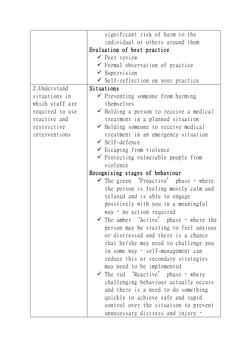|                 | significant risk of harm to the                    |
|-----------------|----------------------------------------------------|
|                 | individual or others around them                   |
|                 | Evaluation of best practice                        |
|                 | $\checkmark$ Peer review                           |
|                 | $\checkmark$ Formal observation of practice        |
|                 | $\checkmark$ Supervision                           |
|                 | $\checkmark$ Self-reflection on your practice      |
| 2. Understand   | Situations                                         |
| situations in   | $\checkmark$ Preventing someone from harming       |
| which staff are | themselves                                         |
| required to use | $\checkmark$ Holding a person to receive a medical |
| reactive and    | treatment in a planned situation                   |
| restrictive     | $\checkmark$ Holding someone to receive medical    |
| interventions   | treatment in an emergency situation                |
|                 | $\checkmark$ Self-defence                          |
|                 | $\checkmark$ Escaping from violence                |
|                 | $\checkmark$ Protecting vulnerable people from     |
|                 | violence                                           |
|                 | Recognising stages of behaviour                    |
|                 | $\checkmark$ The green 'Proactive' phase - where   |
|                 | the person is feeling mostly calm and              |
|                 | relaxed and is able to engage                      |
|                 | positively with you in a meaningful                |
|                 | way - no action required                           |
|                 | The amber 'Active' phase - where the               |
|                 |                                                    |
|                 | person may be starting to feel anxious             |
|                 | or distressed and there is a chance                |
|                 | that he/she may need to challenge you              |
|                 | in some way - self-management can                  |
|                 | reduce this or secondary strategies                |
|                 | may need to be implemented                         |
|                 | The red 'Reactive' phase - where<br>$\checkmark$   |
|                 | challenging behaviour actually occurs              |
|                 | and there is a need to do something                |
|                 | quickly to achieve safe and rapid                  |
|                 | control over the situation to prevent              |
|                 | unnecessary distress and injury -                  |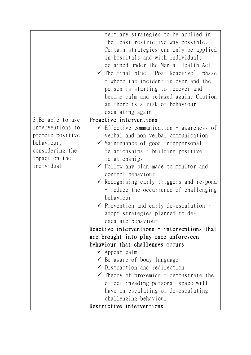|                                                                                                      | tertiary strategies to be applied in<br>the least restrictive way possible.<br>Certain strategies can only be applied<br>in hospitals and with individuals<br>detained under the Mental Health Act<br>$\checkmark$ The final blue 'Post Reactive' phase<br>- where the incident is over and the<br>person is starting to recover and<br>become calm and relaxed again. Caution<br>as there is a risk of behaviour<br>escalating again                                                                   |
|------------------------------------------------------------------------------------------------------|---------------------------------------------------------------------------------------------------------------------------------------------------------------------------------------------------------------------------------------------------------------------------------------------------------------------------------------------------------------------------------------------------------------------------------------------------------------------------------------------------------|
| 3. Be able to use                                                                                    | Proactive interventions                                                                                                                                                                                                                                                                                                                                                                                                                                                                                 |
| interventions to<br>promote positive<br>behaviour,<br>considering the<br>impact on the<br>individual | $\checkmark$ Effective communication - awareness of<br>verbal and non-verbal communication<br>$\checkmark$ Maintenance of good interpersonal<br>relationships - building positive<br>relationships<br>$\checkmark$ Follow any plan made to monitor and<br>control behaviour<br>$\checkmark$ Recognising early triggers and respond<br>- reduce the occurrence of challenging<br>behaviour<br>$\checkmark$ Prevention and early de-escalation -<br>adopt strategies planned to de-<br>escalate behaviour |
|                                                                                                      | Reactive interventions - interventions that                                                                                                                                                                                                                                                                                                                                                                                                                                                             |
|                                                                                                      | are brought into play once unforeseen<br>behaviour that challenges occurs                                                                                                                                                                                                                                                                                                                                                                                                                               |
|                                                                                                      | $\checkmark$ Appear calm                                                                                                                                                                                                                                                                                                                                                                                                                                                                                |
|                                                                                                      | $\checkmark$ Be aware of body language                                                                                                                                                                                                                                                                                                                                                                                                                                                                  |
|                                                                                                      | $\checkmark$ Distraction and redirection                                                                                                                                                                                                                                                                                                                                                                                                                                                                |
|                                                                                                      | Theory of proxemics - demonstrate the                                                                                                                                                                                                                                                                                                                                                                                                                                                                   |
|                                                                                                      | effect invading personal space will                                                                                                                                                                                                                                                                                                                                                                                                                                                                     |
|                                                                                                      | have on escalating or de-escalating                                                                                                                                                                                                                                                                                                                                                                                                                                                                     |
|                                                                                                      | challenging behaviour<br>Restrictive interventions                                                                                                                                                                                                                                                                                                                                                                                                                                                      |
|                                                                                                      |                                                                                                                                                                                                                                                                                                                                                                                                                                                                                                         |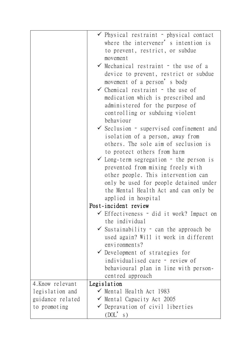|                  | $\checkmark$ Physical restraint - physical contact  |
|------------------|-----------------------------------------------------|
|                  | where the intervener' s intention is                |
|                  | to prevent, restrict, or subdue                     |
|                  | movement                                            |
|                  | $\checkmark$ Mechanical restraint - the use of a    |
|                  | device to prevent, restrict or subdue               |
|                  | movement of a person's body                         |
|                  | $\checkmark$ Chemical restraint - the use of        |
|                  | medication which is prescribed and                  |
|                  |                                                     |
|                  | administered for the purpose of                     |
|                  | controlling or subduing violent                     |
|                  | behaviour                                           |
|                  | $\checkmark$ Seclusion - supervised confinement and |
|                  | isolation of a person, away from                    |
|                  | others. The sole aim of seclusion is                |
|                  | to protect others from harm                         |
|                  | $\checkmark$ Long-term segregation - the person is  |
|                  | prevented from mixing freely with                   |
|                  | other people. This intervention can                 |
|                  | only be used for people detained under              |
|                  | the Mental Health Act and can only be               |
|                  | applied in hospital                                 |
|                  | Post-incident review                                |
|                  | $\checkmark$ Effectiveness – did it work? Impact on |
|                  | the individual                                      |
|                  | $\checkmark$ Sustainability - can the approach be   |
|                  | used again? Will it work in different               |
|                  | $envi$ ronments?                                    |
|                  |                                                     |
|                  | $\checkmark$ Development of strategies for          |
|                  | individualised care - review of                     |
|                  | behavioural plan in line with person-               |
|                  | centred approach                                    |
| 4. Know relevant | Legislation                                         |
| legislation and  | $\checkmark$ Mental Health Act 1983                 |
| guidance related | $\checkmark$ Mental Capacity Act 2005               |
| to promoting     | $\checkmark$ Depravation of civil liberties         |
|                  | (DOL's)                                             |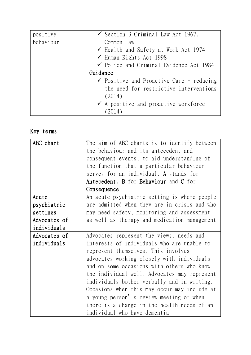| positive  | $\checkmark$ Section 3 Criminal Law Act 1967,       |
|-----------|-----------------------------------------------------|
| behaviour | Common Law                                          |
|           | $\checkmark$ Health and Safety at Work Act 1974     |
|           | $\checkmark$ Human Rights Act 1998                  |
|           | $\checkmark$ Police and Criminal Evidence Act 1984  |
|           | Guidance                                            |
|           | $\checkmark$ Positive and Proactive Care - reducing |
|           | the need for restrictive interventions              |
|           | (2014)                                              |
|           | $\checkmark$ A positive and proactive workforce     |
|           | (2014)                                              |

## Key terms

| ABC chart    | The aim of ABC charts is to identify between |
|--------------|----------------------------------------------|
|              | the behaviour and its antecedent and         |
|              | consequent events, to aid understanding of   |
|              | the function that a particular behaviour     |
|              | serves for an individual. A stands for       |
|              | Antecedent, B for Behaviour and C for        |
|              | Consequence                                  |
| Acute        | An acute psychiatric setting is where people |
| psychiatric  | are admitted when they are in crisis and who |
| settings     | may need safety, monitoring and assessment   |
| Advocates of | as well as therapy and medication management |
| individuals  |                                              |
| Advocates of | Advocates represent the views, needs and     |
| individuals  | interests of individuals who are unable to   |
|              | represent themselves. This involves          |
|              | advocates working closely with individuals   |
|              | and on some occasions with others who know   |
|              | the individual well. Advocates may represent |
|              | individuals bother verbally and in writing.  |
|              | Occasions when this may occur may include at |
|              | a young person's review meeting or when      |
|              | there is a change in the health needs of an  |
|              | individual who have dementia                 |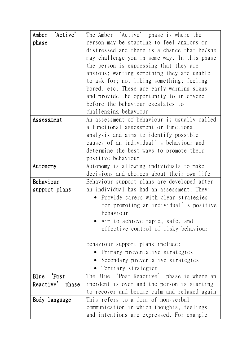| 'Active'<br>Amber | The Amber 'Active' phase is where the        |
|-------------------|----------------------------------------------|
| phase             | person may be starting to feel anxious or    |
|                   | distressed and there is a chance that he/she |
|                   | may challenge you in some way. In this phase |
|                   | the person is expressing that they are       |
|                   | anxious; wanting something they are unable   |
|                   | to ask for; not liking something; feeling    |
|                   | bored, etc. These are early warning signs    |
|                   | and provide the opportunity to intervene     |
|                   | before the behaviour escalates to            |
|                   | challenging behaviour                        |
| Assessment        | An assessment of behaviour is usually called |
|                   | a functional assessment or functional        |
|                   | analysis and aims to identify possible       |
|                   | causes of an individual' s behaviour and     |
|                   | determine the best ways to promote their     |
|                   | positive behaviour                           |
| Autonomy          | Autonomy is allowing individuals to make     |
|                   | decisions and choices about their own life   |
| Behaviour         | Behaviour support plans are developed after  |
| support plans     | an individual has had an assessment. They:   |
|                   | Provide carers with clear strategies         |
|                   | for promoting an individual' s positive      |
|                   | behaviour                                    |
|                   | • Aim to achieve rapid, safe, and            |
|                   | effective control of risky behaviour         |
|                   |                                              |
|                   | Behaviour support plans include:             |
|                   | • Primary preventative strategies            |
|                   | Secondary preventative strategies            |
|                   | Tertiary strategies                          |
| Blue Post         | The Blue 'Post Reactive' phase is where an   |
| Reactive' phase   | incident is over and the person is starting  |
|                   | to recover and become calm and relaxed again |
| Body language     | This refers to a form of non-verbal          |
|                   | communication in which thoughts, feelings    |
|                   | and intentions are expressed. For example    |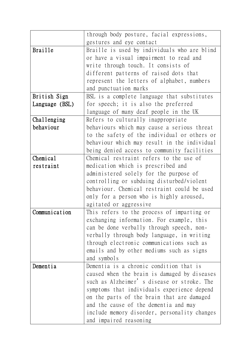|                | through body posture, facial expressions,    |
|----------------|----------------------------------------------|
|                | gestures and eye contact                     |
| <b>Braille</b> | Braille is used by individuals who are blind |
|                | or have a visual impairment to read and      |
|                | write through touch. It consists of          |
|                | different patterns of raised dots that       |
|                | represent the letters of alphabet, numbers   |
|                | and punctuation marks                        |
| British Sign   | BSL is a complete language that substitutes  |
| Language (BSL) | for speech; it is also the preferred         |
|                | language of many deaf people in the UK       |
| Challenging    | Refers to culturally inappropriate           |
| behaviour      | behaviours which may cause a serious threat  |
|                | to the safety of the individual or others or |
|                | behaviour which may result in the individual |
|                | being denied access to community facilities  |
| Chemical       | Chemical restraint refers to the use of      |
| restraint      | medication which is prescribed and           |
|                | administered solely for the purpose of       |
|                | controlling or subduing disturbed/violent    |
|                | behaviour. Chemical restraint could be used  |
|                | only for a person who is highly aroused,     |
|                | agitated or aggressive                       |
| Communication  | This refers to the process of imparting or   |
|                | exchanging information. For example, this    |
|                | can be done verbally through speech, non-    |
|                | verbally through body language, in writing   |
|                | through electronic communications such as    |
|                | emails and by other mediums such as signs    |
|                | and symbols                                  |
| Dementia       | Dementia is a chronic condition that is      |
|                | caused when the brain is damaged by diseases |
|                | such as Alzheimer's disease or stroke. The   |
|                | symptoms that individuals experience depend  |
|                | on the parts of the brain that are damaged   |
|                | and the cause of the dementia and may        |
|                | include memory disorder, personality changes |
|                | and impaired reasoning                       |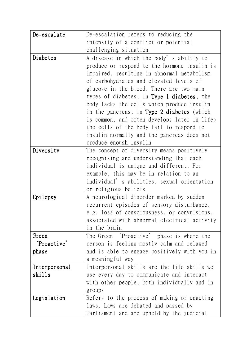| De-escalate   | De-escalation refers to reducing the         |
|---------------|----------------------------------------------|
|               | intensity of a conflict or potential         |
|               | challenging situation                        |
| Diabetes      | A disease in which the body's ability to     |
|               | produce or respond to the hormone insulin is |
|               | impaired, resulting in abnormal metabolism   |
|               | of carbohydrates and elevated levels of      |
|               | glucose in the blood. There are two main     |
|               | types of diabetes; in Type 1 diabetes, the   |
|               | body lacks the cells which produce insulin   |
|               | in the pancreas; in Type 2 diabetes (which   |
|               | is common, and often develops later in life) |
|               | the cells of the body fail to respond to     |
|               | insulin normally and the pancreas does not   |
|               | produce enough insulin                       |
| Diversity     | The concept of diversity means positively    |
|               | recognising and understanding that each      |
|               | individual is unique and different. For      |
|               | example, this may be in relation to an       |
|               | individual' s abilities, sexual orientation  |
|               | or religious beliefs                         |
| Epilepsy      | A neurological disorder marked by sudden     |
|               | recurrent episodes of sensory disturbance,   |
|               | e.g. loss of consciousness, or convulsions,  |
|               | associated with abnormal electrical activity |
|               | in the brain                                 |
| Green         | The Green 'Proactive' phase is where the     |
| 'Proactive'   | person is feeling mostly calm and relaxed    |
| phase         | and is able to engage positively with you in |
|               | a meaningful way                             |
| Interpersonal | Interpersonal skills are the life skills we  |
| skills        | use every day to communicate and interact    |
|               | with other people, both individually and in  |
|               | groups                                       |
| Legislation   | Refers to the process of making or enacting  |
|               | laws. Laws are debated and passed by         |
|               | Parliament and are upheld by the judicial    |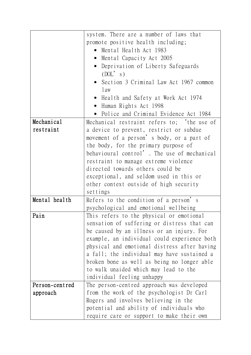|                | system. There are a number of laws that      |  |  |  |
|----------------|----------------------------------------------|--|--|--|
|                | promote positive health including;           |  |  |  |
|                | Mental Health Act 1983<br>$\bullet$          |  |  |  |
|                | • Mental Capacity Act 2005                   |  |  |  |
|                | Deprivation of Liberty Safeguards            |  |  |  |
|                | (DOL's)                                      |  |  |  |
|                | • Section 3 Criminal Law Act 1967 common     |  |  |  |
|                | l aw                                         |  |  |  |
|                | Health and Safety at Work Act 1974           |  |  |  |
|                | • Human Rights Act 1998                      |  |  |  |
|                | • Police and Criminal Evidence Act 1984      |  |  |  |
| Mechanical     | Mechanical restraint refers to; the use of   |  |  |  |
| restraint      | a device to prevent, restrict or subdue      |  |  |  |
|                | movement of a person's body, or a part of    |  |  |  |
|                | the body, for the primary purpose of         |  |  |  |
|                | behavioural control'. The use of mechanical  |  |  |  |
|                | restraint to manage extreme violence         |  |  |  |
|                | directed towards others could be             |  |  |  |
|                | exceptional, and seldom used in this or      |  |  |  |
|                | other context outside of high security       |  |  |  |
|                | settings                                     |  |  |  |
| Mental health  | Refers to the condition of a person's        |  |  |  |
|                | psychological and emotional wellbeing        |  |  |  |
| Pain           | This refers to the physical or emotional     |  |  |  |
|                | sensation of suffering or distress that can  |  |  |  |
|                | be caused by an illness or an injury. For    |  |  |  |
|                | example, an individual could experience both |  |  |  |
|                | physical and emotional distress after having |  |  |  |
|                | a fall; the individual may have sustained a  |  |  |  |
|                | broken bone as well as being no longer able  |  |  |  |
|                | to walk unaided which may lead to the        |  |  |  |
|                | individual feeling unhappy                   |  |  |  |
| Person-centred | The person-centred approach was developed    |  |  |  |
| approach       | from the work of the psychologist Dr Carl    |  |  |  |
|                | Rogers and involves believing in the         |  |  |  |
|                | potential and ability of individuals who     |  |  |  |
|                | require care or support to make their own    |  |  |  |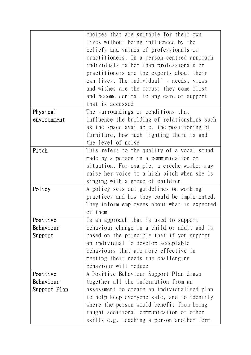|              | choices that are suitable for their own<br>lives without being influenced by the<br>beliefs and values of professionals or<br>practitioners. In a person-centred approach<br>individuals rather than professionals or<br>practitioners are the experts about their<br>own lives. The individual' s needs, views<br>and wishes are the focus; they come first<br>and become central to any care or support<br>that is accessed |
|--------------|-------------------------------------------------------------------------------------------------------------------------------------------------------------------------------------------------------------------------------------------------------------------------------------------------------------------------------------------------------------------------------------------------------------------------------|
| Physical     | The surroundings or conditions that                                                                                                                                                                                                                                                                                                                                                                                           |
| environment  | influence the building of relationships such<br>as the space available, the positioning of<br>furniture, how much lighting there is and<br>the level of noise                                                                                                                                                                                                                                                                 |
| Pitch        | This refers to the quality of a vocal sound                                                                                                                                                                                                                                                                                                                                                                                   |
|              | made by a person in a communication or                                                                                                                                                                                                                                                                                                                                                                                        |
|              | situation. For example, a crèche worker may                                                                                                                                                                                                                                                                                                                                                                                   |
|              | raise her voice to a high pitch when she is                                                                                                                                                                                                                                                                                                                                                                                   |
|              | singing with a group of children                                                                                                                                                                                                                                                                                                                                                                                              |
| Policy       | A policy sets out guidelines on working<br>practices and how they could be implemented.<br>They inform employees about what is expected<br>of them                                                                                                                                                                                                                                                                            |
| Positive     | Is an approach that is used to support                                                                                                                                                                                                                                                                                                                                                                                        |
| Behaviour    | behaviour change in a child or adult and is                                                                                                                                                                                                                                                                                                                                                                                   |
| Support      | based on the principle that if you support                                                                                                                                                                                                                                                                                                                                                                                    |
|              | an individual to develop acceptable                                                                                                                                                                                                                                                                                                                                                                                           |
|              | behaviours that are more effective in                                                                                                                                                                                                                                                                                                                                                                                         |
|              | meeting their needs the challenging                                                                                                                                                                                                                                                                                                                                                                                           |
| Positive     | behaviour will reduce<br>A Positive Behaviour Support Plan draws                                                                                                                                                                                                                                                                                                                                                              |
| Behaviour    | together all the information from an                                                                                                                                                                                                                                                                                                                                                                                          |
| Support Plan | assessment to create an individualised plan                                                                                                                                                                                                                                                                                                                                                                                   |
|              | to help keep everyone safe, and to identify                                                                                                                                                                                                                                                                                                                                                                                   |
|              | where the person would benefit from being                                                                                                                                                                                                                                                                                                                                                                                     |
|              | taught additional communication or other                                                                                                                                                                                                                                                                                                                                                                                      |
|              | skills e.g. teaching a person another form                                                                                                                                                                                                                                                                                                                                                                                    |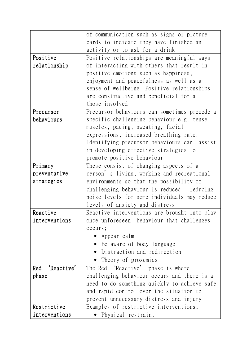|                   | of communication such as signs or picture    |
|-------------------|----------------------------------------------|
|                   | cards to indicate they have finished an      |
|                   | activity or to ask for a drink               |
| Positive          | Positive relationships are meaningful ways   |
| relationship      | of interacting with others that result in    |
|                   | positive emotions such as happiness,         |
|                   | enjoyment and peacefulness as well as a      |
|                   | sense of wellbeing. Positive relationships   |
|                   | are constructive and beneficial for all      |
|                   | those involved                               |
| Precursor         | Precursor behaviours can sometimes precede a |
| behaviours        | specific challenging behaviour e.g. tense    |
|                   | muscles, pacing, sweating, facial            |
|                   | expressions, increased breathing rate.       |
|                   | Identifying precursor behaviours can assist  |
|                   | in developing effective strategies to        |
|                   | promote positive behaviour                   |
| Primary           | These consist of changing aspects of a       |
| preventative      | person's living, working and recreational    |
| strategies        | environments so that the possibility of      |
|                   | challenging behaviour is reduced - reducing  |
|                   | noise levels for some individuals may reduce |
|                   | levels of anxiety and distress               |
| Reactive          | Reactive interventions are brought into play |
| interventions     | once unforeseen behaviour that challenges    |
|                   | occurs;                                      |
|                   | Appear calm                                  |
|                   | • Be aware of body language                  |
|                   | Distraction and redirection<br>$\bullet$     |
|                   | Theory of proxemics                          |
| 'Reactive'<br>Red | The Red 'Reactive' phase is where            |
| phase             | challenging behaviour occurs and there is a  |
|                   | need to do something quickly to achieve safe |
|                   | and rapid control over the situation to      |
|                   | prevent unnecessary distress and injury      |
| Restrictive       | Examples of restrictive interventions;       |
| interventions     | Physical restraint                           |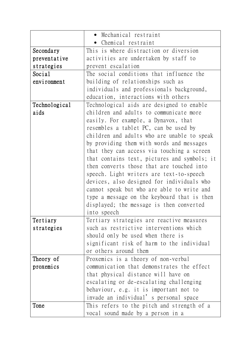|               | • Mechanical restraint                       |
|---------------|----------------------------------------------|
|               | • Chemical restraint                         |
| Secondary     | This is where distraction or diversion       |
| preventative  | activities are undertaken by staff to        |
| strategies    | prevent escalation                           |
| Social        | The social conditions that influence the     |
| environment   | building of relationships such as            |
|               | individuals and professionals background,    |
|               | education, interactions with others          |
| Technological | Technological aids are designed to enable    |
| aids          | children and adults to communicate more      |
|               | easily. For example, a Dynavox, that         |
|               | resembles a tablet PC, can be used by        |
|               | children and adults who are unable to speak  |
|               | by providing them with words and messages    |
|               | that they can access via touching a screen   |
|               | that contains text, pictures and symbols; it |
|               | then converts those that are touched into    |
|               | speech. Light writers are text-to-speech     |
|               | devices, also designed for individuals who   |
|               | cannot speak but who are able to write and   |
|               | type a message on the keyboard that is then  |
|               | displayed; the message is then converted     |
|               | into speech                                  |
| Tertiary      | Tertiary strategies are reactive measures    |
| strategies    | such as restrictive interventions which      |
|               | should only be used when there is            |
|               | significant risk of harm to the individual   |
|               | or others around them                        |
| Theory of     | Proxemics is a theory of non-verbal          |
| proxemics     | communication that demonstrates the effect   |
|               | that physical distance will have on          |
|               | escalating or de-escalating challenging      |
|               | behaviour, e.g. it is important not to       |
|               | invade an individual' s personal space       |
| Tone          | This refers to the pitch and strength of a   |
|               | vocal sound made by a person in a            |